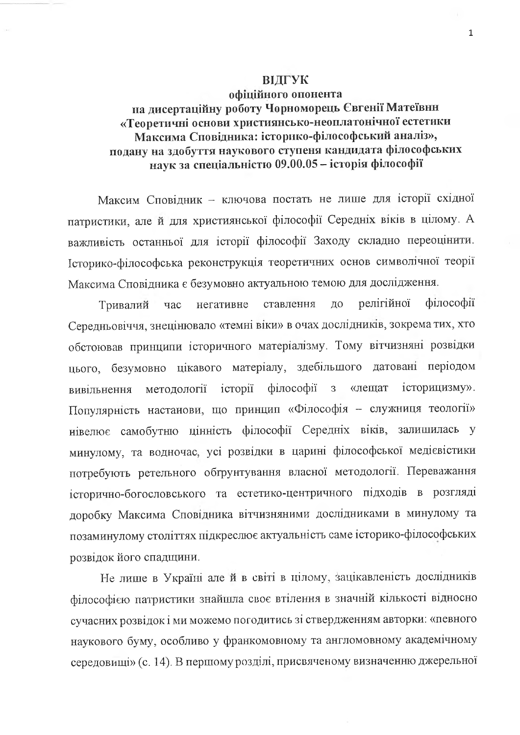## ВІДГУК

## офіційного опонента на дисертаційну роботу Чорноморець Євгенії Матеївни «Теоретичні основи християнсько-неоплатонічної естетики Максима Сповідника: історико-філософський аналіз», подану на здобуття наукового ступеня кандидата філософських наук за спеціальністю 09.00.05 - історія філософії

Максим Сповідник - ключова постать не лише для історії східної патристики, але й для християнської філософії Середніх віків в цілому. А важливість останньої для історії філософії Заходу складно переоцінити. Історико-філософська реконструкція теоретичних основ символічної теорії Максима Сповідника є безумовно актуальною темою для дослідження.

філософії ставлення релігійної  $\overline{a}$ Тривалий час негативне Середньовіччя, знецінювало «темні віки» в очах дослідників, зокрема тих, хто обстоював принципи історичного матеріалізму. Тому вітчизняні розвідки цього, безумовно цікавого матеріалу, здебільшого датовані періодом філософії історицизму». методології історії  $\overline{3}$ «лешат вивільнення Популярність настанови, що принцип «Філософія - служниця теології» иівелює самобутню цінність філософії Середніх віків, залишилась у минулому, та водночас, усі розвідки в царині філософської медієвістики потребують ретельного обтрунтування власної методології. Переважання історично-богословського та естетико-центричного підходів в розгляді доробку Максима Сповідника вітчизняними дослідниками в минулому та позаминулому століттях підкреслює актуальність саме історико-філософських розвідок його спадщини.

Не лише в Україні але й в світі в цілому, зацікавленість дослідників філософією патристики знайшла своє втілення в значній кількості відносно сучасних розвідок і ми можемо погодитись зі ствердженням авторки: «певного наукового буму, особливо у франкомовному та англомовному академічному середовищі» (с. 14). В першому розділі, присвяченому визначенню джерельної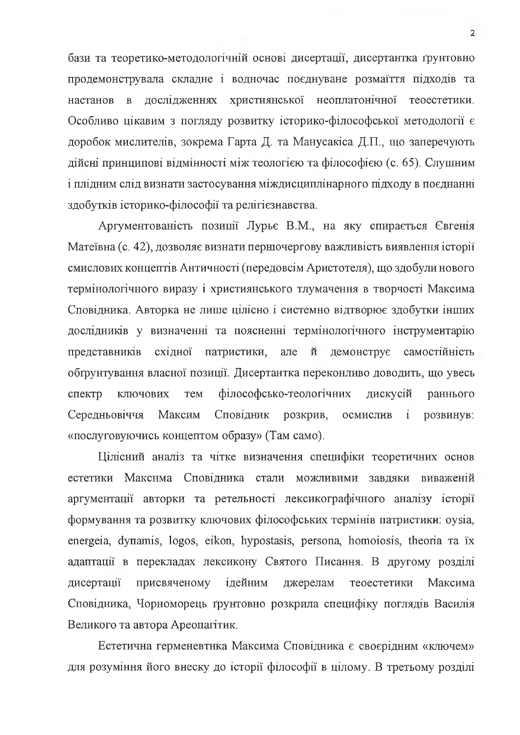бази та теоретико-методологічній основі дисертації, дисертантка ґрунтовно продемонструвала складне і водночас поєднуване розмаїття підходів та дослідженнях християнської неоплатонічної настанов  $\overline{B}$ теоестетики. Особливо цікавим з погляду розвитку історико-філософської методології є доробок мислителів, зокрема Гарта Д. та Манусакіса Д.П., що заперечують дійсні принципові відмінності між теологією та філософією (с. 65). Слушним і плідним слід визнати застосування міждисциплінарного підходу в поєднанні здобутків історико-філософії та релігієзнавства.

Аргументованість позиції Лурьє В.М., на яку спирається Євгенія Матеївна (с. 42), дозволяє визнати першочергову важливість виявлення історії смислових концептів Античності (передовсім Аристотеля), що здобули нового термінологічного виразу і християнського тлумачення в творчості Максима Сповідника. Авторка не лише цілісно і системно відтворює здобутки інших дослідників у визначенні та поясненні термінологічного інструментарію представників східної патристики, але й самостійність демонструє обґрунтування власної позиції. Дисертантка переконливо доводить, що увесь ключових філософсько-теологічних дискусій спектр тем раннього Максим Середньовіччя Сповідник розкрив, осмислив  $\mathbf{i}$ розвинув: «послуговуючись концептом образу» (Там само).

Цілісний аналіз та чітке визначення спецнфіки теоретичних основ Макснма Сповідника стали можливими завдяки естетики виваженій аргументації авторки та ретельності лексикографічного аналізу історії формування та розвитку ключових філософських термінів патристики: oysia, energeia, dynamis, logos, eikon, hypostasis, persona, homoiosis, theoria ra ix адаптації в перекладах лексикону Святого Писання. В другому розділі дисертації присвяченому ідейним джерелам теоестетики Максима Сповідника, Чорноморець ґрунтовно розкрила специфіку поглядів Василія Великого та автора Ареопагітик.

Естетична герменевтнка Максима Сповідника є своєрідним «ключем» для розуміння його внеску до історії філософії в цілому. В третьому розділі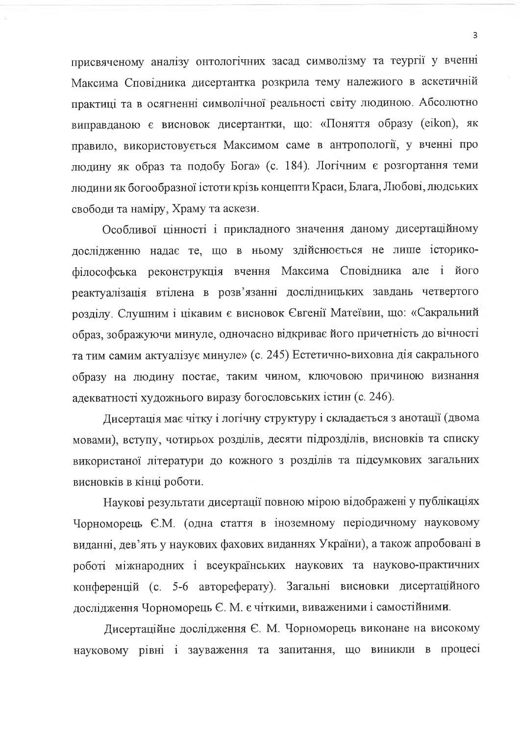присвяченому аналізу онтологічних засад символізму та теургії у вченні Максима Сповідника дисертантка розкрила тему належиого в аскетичній практиці та в осягненні символічної реальності світу людиною. Абсолютно виправданою є висновок дисертантки, що: «Поняття образу (eikon), як правило, використовується Максимом саме в антропології, у вченні про людину як образ та подобу Бога» (с. 184). Логічним є розгортання теми людини як богообразної істоти крізь концепти Краси, Блага, Любові, людських свободи та наміру, Храму та аскези.

Особливої цінності і прикладного значення даному дисертаційному дослідженню надає те, що в ньому здійснюється не лише історикофілософська реконструкція вчення Максима Сповідника але і його реактуалізація втілена в розв'язанні дослідницьких завдань четвертого розділу. Слушним і цікавим є висновок Євгенії Матеївии, що: «Сакральний образ, зображуючи минуле, одночасно відкриває його причетність до вічності та тим самим актуалізує минуле» (с. 245) Естетично-виховна дія сакрального образу на людину постає, таким чином, ключовою причиною визнання адекватності художнього виразу богословських істин (с. 246).

Лисертація має чітку і логічну структуру і складається з анотації (двома мовами), вступу, чотирьох розділів, десяти підрозділів, висновків та списку використаної літератури до кожного з розділів та підсумкових загальних висновків в кінці роботи.

Наукові результати дисертації повною мірою відображені у публікаціях Чорноморець Є.М. (одна стаття в іноземному періодичному науковому виданні, дев'ять у наукових фахових виданнях України), а також апробовані в роботі міжнародних і всеукраїнських наукових та науково-практичних конференцій (с. 5-6 автореферату). Загальні висиовки дисертаційного дослідження Чорноморець Є. М. є чіткими, виваженими і самостійними.

Дисертаційне дослідження Є. М. Чорноморець виконане на високому науковому рівні і зауваження та запитання, що виникли в процесі

 $\overline{3}$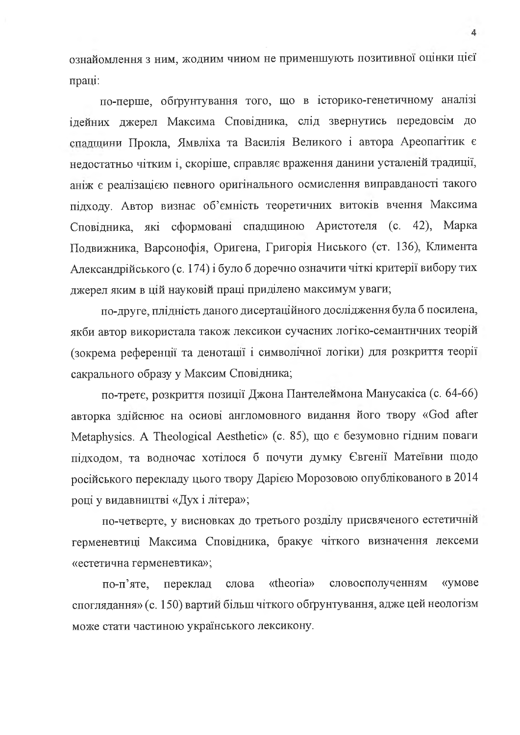ознайомлення з ним, жодиим чином не применшують позитивної оцінки цієї праці:

по-перше, обтрунтування того, що в історико-генетичному аналізі ідейних джерел Максима Сповідника, слід звернутись передовсім до спадщини Прокла, Ямвліха та Василія Великого і автора Ареопагітик є нелостатньо чітким і, скоріше, справляє враження данини усталеній традиції, аніж є реалізацією певного оригінального осмислення виправданості такого підходу. Автор визнає об'ємність теоретичних витоків вчення Максима Сповідника, які сформовані спадщиною Аристотеля (с. 42), Марка Подвижника, Варсонофія, Оригена, Григорія Ниського (ст. 136), Климента Александрійського (с. 174) і було б доречно означити чіткі критерії вибору тих джерел яким в цій науковій праці приділено максимум уваги;

по-друге, плідність даного дисертаційного дослідження була б посилена, якби автор використала також лексикон сучасних логіко-семантнчних теорій (зокрема референції та денотації і символічної логіки) для розкриття теорії сакрального образу у Максим Сповідника;

по-трете, розкриття позиції Джона Пантелеймона Манусакіса (с. 64-66) авторка здійснює на основі англомовного видання його твору «God after Metaphysics. A Theological Aesthetic» (с. 85), що є безумовно гідним поваги підходом, та водночас хотілося б почути думку Євгенії Матеївни щодо російського перекладу цього твору Дарією Морозовою опублікованого в 2014 році у видавництві «Дух і літера»;

по-четверте, у висновках до третього розділу присвяченого естетичній герменевтиці Максима Сповідника, бракує чіткого визначення лексеми «естетична герменевтика»;

«theoria» словосполученням «умове по-п'яте, переклад слова споглядання» (с. 150) вартий більш чіткого обтрунтування, адже цей неологізм може стати частиною українського лексикону.